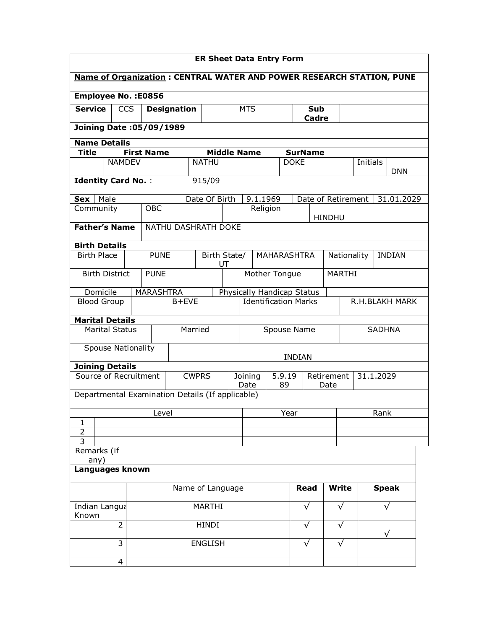| <b>ER Sheet Data Entry Form</b>                                             |                           |                                 |                                                  |                |                             |                                 |                            |                               |                     |                |           |               |  |
|-----------------------------------------------------------------------------|---------------------------|---------------------------------|--------------------------------------------------|----------------|-----------------------------|---------------------------------|----------------------------|-------------------------------|---------------------|----------------|-----------|---------------|--|
| <b>Name of Organization: CENTRAL WATER AND POWER RESEARCH STATION, PUNE</b> |                           |                                 |                                                  |                |                             |                                 |                            |                               |                     |                |           |               |  |
|                                                                             |                           | <b>Employee No.: E0856</b>      |                                                  |                |                             |                                 |                            |                               |                     |                |           |               |  |
| <b>Service</b>                                                              | <b>CCS</b>                |                                 | <b>Designation</b><br><b>MTS</b>                 |                |                             |                                 |                            |                               | <b>Sub</b><br>Cadre |                |           |               |  |
|                                                                             |                           | <b>Joining Date: 05/09/1989</b> |                                                  |                |                             |                                 |                            |                               |                     |                |           |               |  |
|                                                                             | <b>Name Details</b>       |                                 |                                                  |                |                             |                                 |                            |                               |                     |                |           |               |  |
| Title                                                                       | <b>NAMDEV</b>             | <b>First Name</b>               |                                                  | <b>NATHU</b>   | <b>Middle Name</b>          |                                 |                            | <b>SurName</b><br><b>DOKE</b> |                     |                | Initials  |               |  |
| <b>DNN</b>                                                                  |                           |                                 |                                                  |                |                             |                                 |                            |                               |                     |                |           |               |  |
|                                                                             | <b>Identity Card No.:</b> |                                 |                                                  | 915/09         |                             |                                 |                            |                               |                     |                |           |               |  |
| Sex   Male                                                                  |                           |                                 |                                                  | Date Of Birth  |                             | 9.1.1969                        |                            |                               | Date of Retirement  |                |           | 31.01.2029    |  |
| Community                                                                   |                           | <b>OBC</b>                      |                                                  |                |                             |                                 | Religion                   |                               | <b>HINDHU</b>       |                |           |               |  |
|                                                                             | <b>Father's Name</b>      |                                 | NATHU DASHRATH DOKE                              |                |                             |                                 |                            |                               |                     |                |           |               |  |
|                                                                             | <b>Birth Details</b>      |                                 |                                                  |                |                             |                                 |                            |                               |                     |                |           |               |  |
| <b>Birth Place</b>                                                          |                           | <b>PUNE</b>                     |                                                  |                | Birth State/<br>UT          |                                 | <b>MAHARASHTRA</b>         |                               |                     | Nationality    |           | <b>INDIAN</b> |  |
|                                                                             | <b>Birth District</b>     | <b>PUNE</b>                     |                                                  |                |                             |                                 | Mother Tongue              |                               |                     | <b>MARTHI</b>  |           |               |  |
|                                                                             | Domicile                  | <b>MARASHTRA</b>                |                                                  |                |                             |                                 | Physically Handicap Status |                               |                     |                |           |               |  |
|                                                                             | <b>Blood Group</b>        |                                 | $B + EVE$                                        |                | <b>Identification Marks</b> |                                 |                            |                               |                     | R.H.BLAKH MARK |           |               |  |
|                                                                             | <b>Marital Details</b>    |                                 |                                                  |                |                             |                                 |                            |                               |                     |                |           |               |  |
|                                                                             | <b>Marital Status</b>     |                                 |                                                  | Married        | Spouse Name                 |                                 |                            |                               | <b>SADHNA</b>       |                |           |               |  |
|                                                                             | <b>Spouse Nationality</b> |                                 |                                                  |                |                             |                                 |                            |                               |                     |                |           |               |  |
|                                                                             | <b>Joining Details</b>    |                                 |                                                  |                |                             |                                 |                            | <b>INDIAN</b>                 |                     |                |           |               |  |
|                                                                             |                           | Source of Recruitment           |                                                  | <b>CWPRS</b>   |                             | 5.9.19<br>Retirement<br>Joining |                            |                               |                     |                | 31.1.2029 |               |  |
|                                                                             |                           |                                 | Departmental Examination Details (If applicable) |                |                             | Date                            | 89                         |                               | Date                |                |           |               |  |
|                                                                             |                           |                                 | Level                                            |                |                             |                                 |                            | Year                          |                     |                |           | Rank          |  |
| $\mathbf{1}$                                                                |                           |                                 |                                                  |                |                             |                                 |                            |                               |                     |                |           |               |  |
| $\overline{2}$<br>$\overline{3}$                                            |                           |                                 |                                                  |                |                             |                                 |                            |                               |                     |                |           |               |  |
|                                                                             | Remarks (if               |                                 |                                                  |                |                             |                                 |                            |                               |                     |                |           |               |  |
| any)<br>Languages known                                                     |                           |                                 |                                                  |                |                             |                                 |                            |                               |                     |                |           |               |  |
| <b>Speak</b><br>Name of Language<br><b>Read</b><br><b>Write</b>             |                           |                                 |                                                  |                |                             |                                 |                            |                               |                     |                |           |               |  |
|                                                                             | Indian Langua             |                                 |                                                  | <b>MARTHI</b>  |                             |                                 |                            | $\sqrt{}$                     |                     | $\sqrt{}$      |           | √             |  |
| Known                                                                       |                           |                                 |                                                  |                |                             |                                 |                            |                               |                     |                |           |               |  |
|                                                                             | $\overline{2}$            |                                 |                                                  | HINDI          |                             |                                 |                            | $\sqrt{}$                     |                     | $\sqrt{}$      |           | $\sqrt{}$     |  |
|                                                                             | $\overline{3}$            |                                 |                                                  | <b>ENGLISH</b> |                             |                                 |                            | $\sqrt{}$                     |                     | $\sqrt{}$      |           |               |  |
|                                                                             | 4                         |                                 |                                                  |                |                             |                                 |                            |                               |                     |                |           |               |  |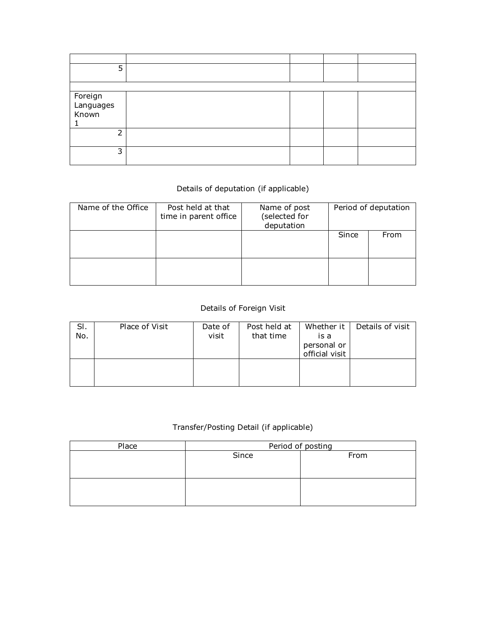| 5                             |  |  |
|-------------------------------|--|--|
|                               |  |  |
| Foreign<br>Languages<br>Known |  |  |
| h                             |  |  |
| 3                             |  |  |

## Details of deputation (if applicable)

| Name of the Office | Post held at that<br>time in parent office | Name of post<br>(selected for<br>deputation | Period of deputation |      |  |  |
|--------------------|--------------------------------------------|---------------------------------------------|----------------------|------|--|--|
|                    |                                            |                                             | Since                | From |  |  |
|                    |                                            |                                             |                      |      |  |  |

## Details of Foreign Visit

| SI.<br>No. | Place of Visit | Date of<br>visit | Post held at<br>that time | Whether it<br>is a<br>personal or<br>official visit | Details of visit |
|------------|----------------|------------------|---------------------------|-----------------------------------------------------|------------------|
|            |                |                  |                           |                                                     |                  |

## Transfer/Posting Detail (if applicable)

| Place | Period of posting |      |  |  |  |  |  |  |
|-------|-------------------|------|--|--|--|--|--|--|
|       | Since             | From |  |  |  |  |  |  |
|       |                   |      |  |  |  |  |  |  |
|       |                   |      |  |  |  |  |  |  |
|       |                   |      |  |  |  |  |  |  |
|       |                   |      |  |  |  |  |  |  |
|       |                   |      |  |  |  |  |  |  |